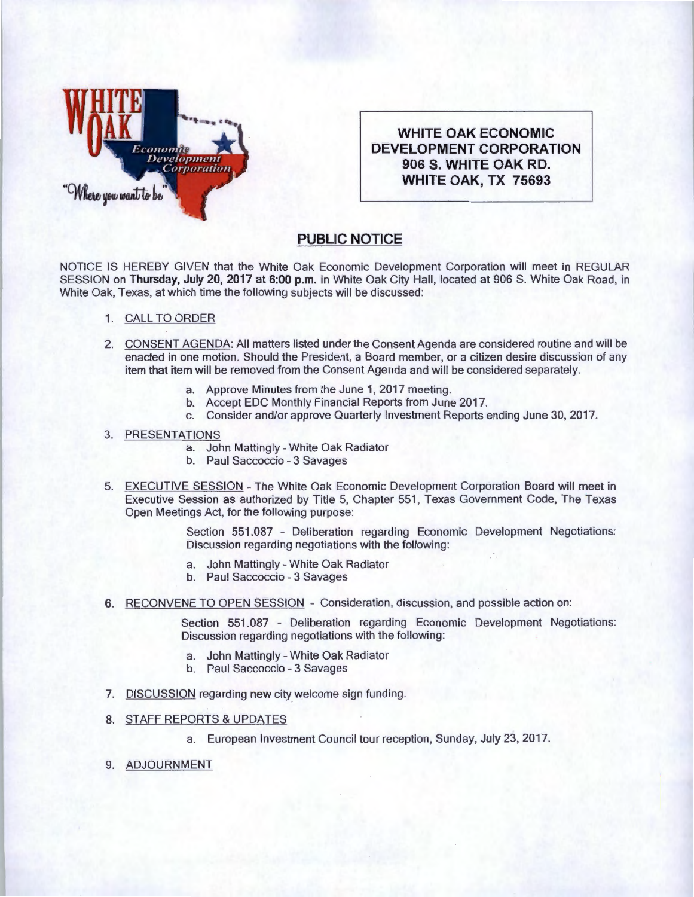

**WHITE OAK ECONOMIC DEVELOPMENT CORPORATION 906 S. WHITE OAK RD. WHITE OAK, TX 75693** 

## **PUBLIC NOTICE**

NOTICE IS HEREBY GIVEN that the White Oak Economic Development Corporation will meet in REGULAR SESSION on Thursday, July 20, 2017 at 6:00 p.m. in White Oak City Hall, located at 906 S. White Oak Road, in White Oak, Texas, at which time the following subjects will be discussed:

- 1. CALL TO ORDER
- 2. CONSENT AGENDA: All matters listed under the Consent Agenda are considered routine and will be enacted in one motion. Should the President, a Board member, or a citizen desire discussion of any item that item will be removed from the Consent Agenda and will be considered separately.
	- a. Approve Minutes from the June 1, 2017 meeting.
	- b. Accept EDC Monthly Financial Reports from June 2017.
	- c. Consider and/or approve Quarterly Investment Reports ending June 30, 2017.

## 3. PRESENTATIONS

- a. John Mattingly- White Oak Radiator
- b. Paul Saccoccio 3 Savages
- 5. EXECUTIVE SESSION The White Oak Economic Development Corporation Board will meet in Executive Session as authorized by Title 5, Chapter 551 , Texas Government Code, The Texas Open Meetings Act, for the following purpose:

Section 551.087 - Deliberation regarding Economic Development Negotiations: Discussion regarding negotiations with the following:

- a. John Mattingly- White Oak Radiator
- b. Paul Saccoccio 3 Savages
- 6. RECONVENE TO OPEN SESSION Consideration, discussion, and possible action on:

Section 551.087 - Deliberation regarding Economic Development Negotiations: Discussion regarding negotiations with the following:

- a. John Mattingly White Oak Radiator
- b. Paul Saccoccio 3 Savages
- 7. DISCUSSION regarding new city welcome sign funding.
- 8. STAFF REPORTS & UPDATES
	- a. European Investment Council tour reception, Sunday, July 23, 2017.
- 9. ADJOURNMENT